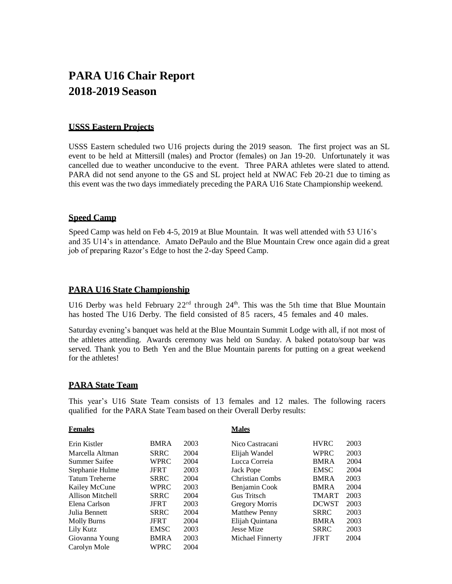# **PARA U16 Chair Report 2018-2019 Season**

## **USSS Eastern Projects**

USSS Eastern scheduled two U16 projects during the 2019 season. The first project was an SL event to be held at Mittersill (males) and Proctor (females) on Jan 19-20. Unfortunately it was cancelled due to weather unconducive to the event. Three PARA athletes were slated to attend. PARA did not send anyone to the GS and SL project held at NWAC Feb 20-21 due to timing as this event was the two days immediately preceding the PARA U16 State Championship weekend.

## **Speed Camp**

 Speed Camp was held on Feb 4-5, 2019 at Blue Mountain. It was well attended with 53 U16's and 35 U14's in attendance. Amato DePaulo and the Blue Mountain Crew once again did a great job of preparing Razor's Edge to host the 2-day Speed Camp.

## **PARA U16 State Championship**

U16 Derby was held February  $22<sup>rd</sup>$  through  $24<sup>th</sup>$ . This was the 5th time that Blue Mountain has hosted The U16 Derby. The field consisted of 85 racers, 45 females and 40 males.

Saturday evening's banquet was held at the Blue Mountain Summit Lodge with all, if not most of the athletes attending. Awards ceremony was held on Sunday. A baked potato/soup bar was served. Thank you to Beth Yen and the Blue Mountain parents for putting on a great weekend for the athletes!

## **PARA State Team**

This year's U16 State Team consists of 13 females and 12 males. The following racers qualified for the PARA State Team based on their Overall Derby results:

#### **Females**

**Males**

| Erin Kistler          | <b>BMRA</b> | 2003 | Nico Castracani      | <b>HVRC</b>  | 2003 |
|-----------------------|-------------|------|----------------------|--------------|------|
| Marcella Altman       | <b>SRRC</b> | 2004 | Elijah Wandel        | <b>WPRC</b>  | 2003 |
| Summer Saifee         | <b>WPRC</b> | 2004 | Lucca Correia        | <b>BMRA</b>  | 2004 |
| Stephanie Hulme       | <b>JFRT</b> | 2003 | Jack Pope            | <b>EMSC</b>  | 2004 |
| <b>Tatum Treherne</b> | <b>SRRC</b> | 2004 | Christian Combs      | <b>BMRA</b>  | 2003 |
| Kailey McCune         | <b>WPRC</b> | 2003 | Benjamin Cook        | <b>BMRA</b>  | 2004 |
| Allison Mitchell      | <b>SRRC</b> | 2004 | Gus Tritsch          | <b>TMART</b> | 2003 |
| Elena Carlson         | <b>JFRT</b> | 2003 | Gregory Morris       | <b>DCWST</b> | 2003 |
| Julia Bennett         | <b>SRRC</b> | 2004 | <b>Matthew Penny</b> | <b>SRRC</b>  | 2003 |
| <b>Molly Burns</b>    | <b>JFRT</b> | 2004 | Elijah Quintana      | <b>BMRA</b>  | 2003 |
| Lily Kutz             | <b>EMSC</b> | 2003 | <b>Jesse Mize</b>    | <b>SRRC</b>  | 2003 |
| Giovanna Young        | <b>BMRA</b> | 2003 | Michael Finnerty     | <b>JFRT</b>  | 2004 |
| Carolyn Mole          | WPRC        | 2004 |                      |              |      |